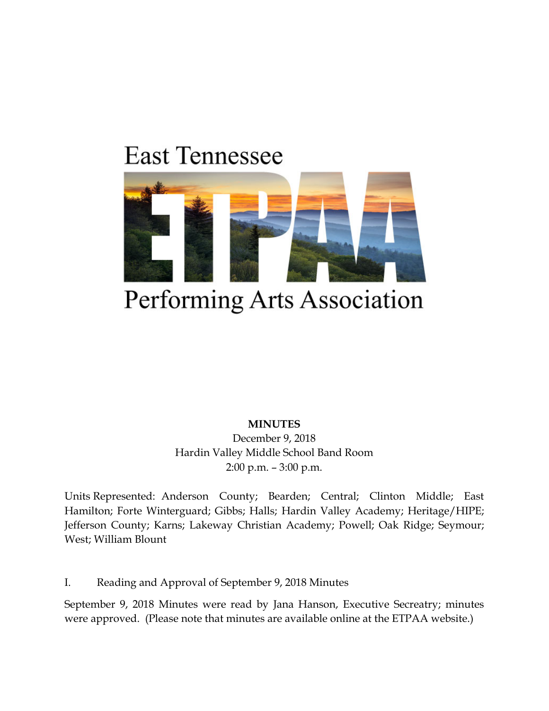# **East Tennessee**



## Performing Arts Association

**MINUTES**

December 9, 2018 Hardin Valley Middle School Band Room 2:00 p.m. – 3:00 p.m.

Units Represented: Anderson County; Bearden; Central; Clinton Middle; East Hamilton; Forte Winterguard; Gibbs; Halls; Hardin Valley Academy; Heritage/HIPE; Jefferson County; Karns; Lakeway Christian Academy; Powell; Oak Ridge; Seymour; West; William Blount

I. Reading and Approval of September 9, 2018 Minutes

September 9, 2018 Minutes were read by Jana Hanson, Executive Secreatry; minutes were approved. (Please note that minutes are available online at the ETPAA website.)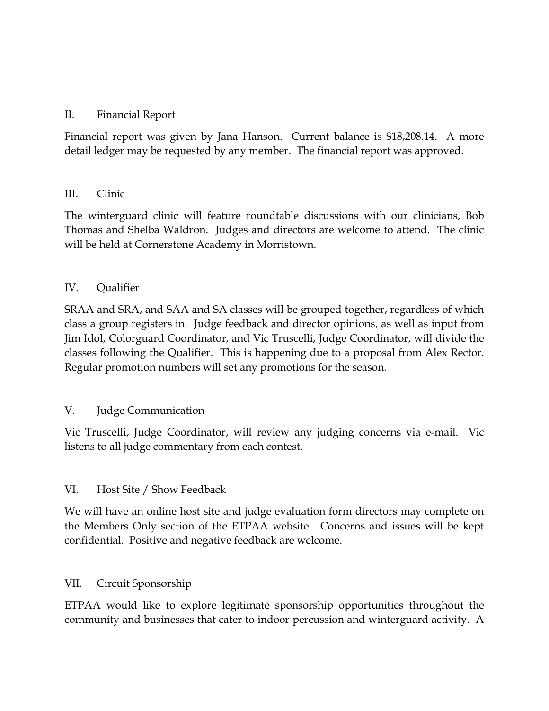## II. Financial Report

Financial report was given by Jana Hanson. Current balance is \$18,208.14. A more detail ledger may be requested by any member. The financial report was approved.

#### III. Clinic

The winterguard clinic will feature roundtable discussions with our clinicians, Bob Thomas and Shelba Waldron. Judges and directors are welcome to attend. The clinic will be held at Cornerstone Academy in Morristown.

## IV. Qualifier

SRAA and SRA, and SAA and SA classes will be grouped together, regardless of which class a group registers in. Judge feedback and director opinions, as well as input from Jim Idol, Colorguard Coordinator, and Vic Truscelli, Judge Coordinator, will divide the classes following the Qualifier. This is happening due to a proposal from Alex Rector. Regular promotion numbers will set any promotions for the season.

## V. Judge Communication

Vic Truscelli, Judge Coordinator, will review any judging concerns via e-mail. Vic listens to all judge commentary from each contest.

#### VI. Host Site / Show Feedback

We will have an online host site and judge evaluation form directors may complete on the Members Only section of the ETPAA website. Concerns and issues will be kept confidential. Positive and negative feedback are welcome.

#### VII. Circuit Sponsorship

ETPAA would like to explore legitimate sponsorship opportunities throughout the community and businesses that cater to indoor percussion and winterguard activity. A